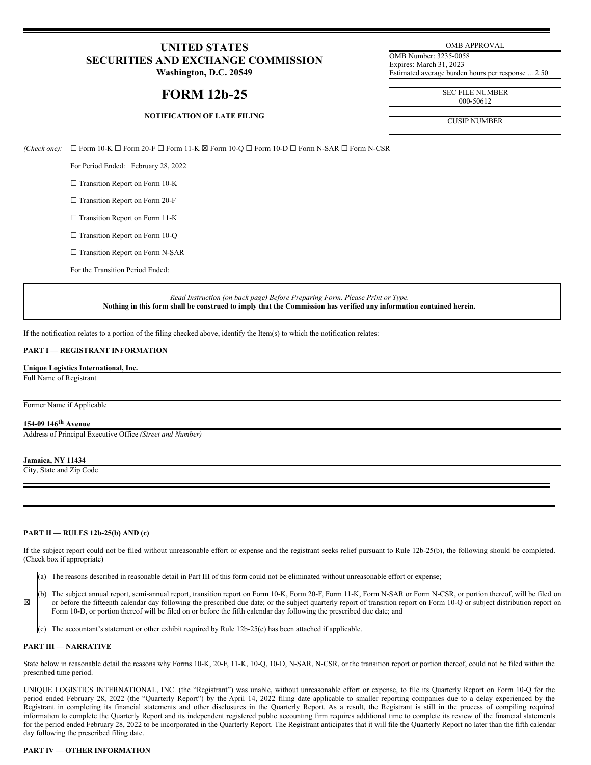# **UNITED STATES SECURITIES AND EXCHANGE COMMISSION**

**Washington, D.C. 20549**

# **FORM 12b-25**

# **NOTIFICATION OF LATE FILING**

OMB APPROVAL

OMB Number: 3235-0058 Expires: March 31, 2023 Estimated average burden hours per response ... 2.50

> SEC FILE NUMBER 000-50612

CUSIP NUMBER

*(Check one):* ☐ Form 10-K ☐ Form 20-F ☐ Form 11-K ☒ Form 10-Q ☐ Form 10-D ☐ Form N-SAR ☐ Form N-CSR

For Period Ended: February 28, 2022

□ Transition Report on Form 10-K

□ Transition Report on Form 20-F

□ Transition Report on Form 11-K

□ Transition Report on Form 10-Q

□ Transition Report on Form N-SAR

For the Transition Period Ended:

*Read Instruction (on back page) Before Preparing Form. Please Print or Type.* Nothing in this form shall be construed to imply that the Commission has verified any information contained herein.

If the notification relates to a portion of the filing checked above, identify the Item(s) to which the notification relates:

## **PART I — REGISTRANT INFORMATION**

**Unique Logistics International, Inc.** Full Name of Registrant

Former Name if Applicable

## **154-09 146 th Avenue**

Address of Principal Executive Office *(Street and Number)*

#### **Jamaica, NY 11434**

City, State and Zip Code

### **PART II — RULES 12b-25(b) AND (c)**

If the subject report could not be filed without unreasonable effort or expense and the registrant seeks relief pursuant to Rule 12b-25(b), the following should be completed. (Check box if appropriate)

- (a) The reasons described in reasonable detail in Part III of this form could not be eliminated without unreasonable effort or expense;
- ☒ (b) The subject annual report, semi-annual report, transition report on Form 10-K, Form 20-F, Form 11-K, Form N-SAR or Form N-CSR, or portion thereof, will be filed on or before the fifteenth calendar day following the prescribed due date; or the subject quarterly report of transition report on Form 10-Q or subject distribution report on Form 10-D, or portion thereof will be filed on or before the fifth calendar day following the prescribed due date; and
	- (c) The accountant's statement or other exhibit required by Rule 12b-25(c) has been attached if applicable.

### **PART III — NARRATIVE**

State below in reasonable detail the reasons why Forms 10-K, 20-F, 11-K, 10-Q, 10-D, N-SAR, N-CSR, or the transition report or portion thereof, could not be filed within the prescribed time period.

UNIQUE LOGISTICS INTERNATIONAL, INC. (the "Registrant") was unable, without unreasonable effort or expense, to file its Quarterly Report on Form 10-Q for the period ended February 28, 2022 (the "Quarterly Report") by the April 14, 2022 filing date applicable to smaller reporting companies due to a delay experienced by the Registrant in completing its financial statements and other disclosures in the Quarterly Report. As a result, the Registrant is still in the process of compiling required information to complete the Quarterly Report and its independent registered public accounting firm requires additional time to complete its review of the financial statements for the period ended February 28, 2022 to be incorporated in the Quarterly Report. The Registrant anticipates that it will file the Quarterly Report no later than the fifth calendar day following the prescribed filing date.

## **PART IV — OTHER INFORMATION**